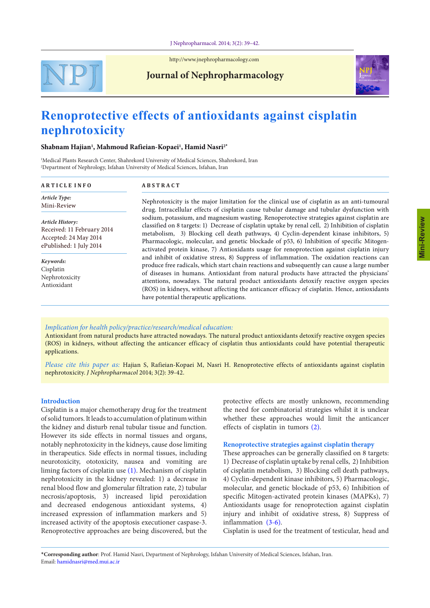

<http://www.jnephropharmacology.com>

# **Journal of Nephropharmacology**



# **Renoprotective effects of antioxidants against cisplatin nephrotoxicity**

# **Shabnam Hajian1 , Mahmoud Rafieian-Kopaei1 , Hamid Nasri2\***

1 Medical Plants Research Center, Shahrekord University of Medical Sciences, Shahrekord, Iran 2 Department of Nephrology, Isfahan University of Medical Sciences, Isfahan, Iran

#### **A R T I C L E I N F O**

**A B S T R A C T**

*Article Type:* Mini-Review

*Article History:* Received: 11 February 2014 Accepted: 24 May 2014 ePublished: 1 July 2014

*Keywords:* Cisplatin Nephrotoxicity Antioxidant

Nephrotoxicity is the major limitation for the clinical use of cisplatin as an anti-tumoural drug. Intracellular effects of cisplatin cause tubular damage and tubular dysfunction with sodium, potassium, and magnesium wasting. Renoperotective strategies against cisplatin are classified on 8 targets: 1) Decrease of cisplatin uptake by renal cell, 2) Inhibition of cisplatin metabolism, 3) Blocking cell death pathways, 4) Cyclin-dependent kinase inhibitors, 5) Pharmacologic, molecular, and genetic blockade of p53, 6) Inhibition of specific Mitogenactivated protein kinase, 7) Antioxidants usage for renoprotection against cisplatin injury and inhibit of oxidative stress, 8) Suppress of inflammation. The oxidation reactions can produce free radicals, which start chain reactions and subsequently can cause a large number of diseases in humans. Antioxidant from natural products have attracted the physicians' attentions, nowadays. The natural product antioxidants detoxify reactive oxygen species (ROS) in kidneys, without affecting the anticancer efficacy of cisplatin. Hence, antioxidants have potential therapeutic applications.

# *Implication for health policy/practice/research/medical education:*

Antioxidant from natural products have attracted nowadays. The natural product antioxidants detoxify reactive oxygen species (ROS) in kidneys, without affecting the anticancer efficacy of cisplatin thus antioxidants could have potential therapeutic applications.

*Please cite this paper as:* Hajian S, Rafieian-Kopaei M, Nasri H. Renoprotective effects of antioxidants against cisplatin nephrotoxicity. *J Nephropharmacol* 2014; 3(2): 39-42.

## **Introduction**

Cisplatin is a major chemotherapy drug for the treatment of solid tumors. It leads to accumulation of platinum within the kidney and disturb renal tubular tissue and function. However its side effects in normal tissues and organs, notably nephrotoxicity in the kidneys, cause dose limiting in therapeutics. Side effects in normal tissues, including neurotoxicity, ototoxicity, nausea and vomiting are liming factors of cisplatin use [\(1\)](#page-2-0). Mechanism of cisplatin nephrotoxicity in the kidney revealed: 1) a decrease in renal blood flow and glomerular filtration rate, 2) tubular necrosis/apoptosis, 3) increased lipid peroxidation and decreased endogenous antioxidant systems, 4) increased expression of inflammation markers and 5) increased activity of the apoptosis executioner caspase-3. Renoprotective approaches are being discovered, but the

protective effects are mostly unknown, recommending the need for combinatorial strategies whilst it is unclear whether these approaches would limit the anticancer effects of cisplatin in tumors [\(2](#page-2-1)).

#### **Renoprotective strategies against cisplatin therapy**

These approaches can be generally classified on 8 targets: 1) Decrease of cisplatin uptake by renal cells, 2) Inhibition of cisplatin metabolism, 3) Blocking cell death pathways, 4) Cyclin-dependent kinase inhibitors, 5) Pharmacologic, molecular, and genetic blockade of p53, 6) Inhibition of specific Mitogen-activated protein kinases (MAPKs), 7) Antioxidants usage for renoprotection against cisplatin injury and inhibit of oxidative stress, 8) Suppress of inflammation [\(3](#page-2-2)[-6](#page-2-3)).

Cisplatin is used for the treatment of testicular, head and

\***Corresponding author**: Prof. Hamid Nasri, Department of Nephrology, Isfahan University of Medical Sciences, Isfahan, Iran. Email: hamidnasri@med.mui.ac.ir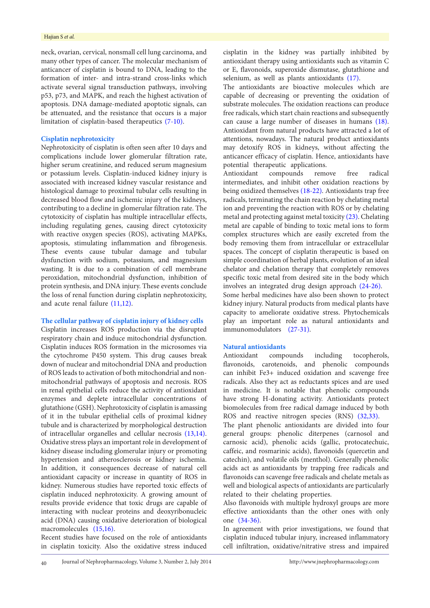#### Hajian S *et al.*

neck, ovarian, cervical, nonsmall cell lung carcinoma, and many other types of cancer. The molecular mechanism of anticancer of cisplatin is bound to DNA, leading to the formation of inter- and intra-strand cross-links which activate several signal transduction pathways, involving p53, p73, and MAPK, and reach the highest activation of apoptosis. DNA damage-mediated apoptotic signals, can be attenuated, and the resistance that occurs is a major limitation of cisplatin-based therapeutics ([7](#page-2-4)[-10\)](#page-2-5).

#### **Cisplatin nephrotoxicity**

Nephrotoxicity of cisplatin is often seen after 10 days and complications include lower glomerular filtration rate, higher serum creatinine, and reduced serum magnesium or potassium levels. Cisplatin-induced kidney injury is associated with increased kidney vascular resistance and histological damage to proximal tubular cells resulting in decreased blood flow and ischemic injury of the kidneys, contributing to a decline in glomerular filtration rate. The cytotoxicity of cisplatin has multiple intracellular effects, including regulating genes, causing direct cytotoxicity with reactive oxygen species (ROS), activating MAPKs, apoptosis, stimulating inflammation and fibrogenesis. These events cause tubular damage and tubular dysfunction with sodium, potassium, and magnesium wasting. It is due to a combination of cell membrane peroxidation, mitochondrial dysfunction, inhibition of protein synthesis, and DNA injury. These events conclude the loss of renal function during cisplatin nephrotoxicity, and acute renal failure ([11](#page-2-6),[12](#page-2-7)).

# **The cellular pathway of cisplatin injury of kidney cells**

Cisplatin increases ROS production via the disrupted respiratory chain and induce mitochondrial dysfunction. Cisplatin induces ROS formation in the microsomes via the cytochrome P450 system. This drug causes break down of nuclear and mitochondrial DNA and production of ROS leads to activation of both mitochondrial and nonmitochondrial pathways of apoptosis and necrosis. ROS in renal epithelial cells reduce the activity of antioxidant enzymes and deplete intracellular concentrations of glutathione (GSH). Nephrotoxicity of cisplatin is amassing of it in the tubular epithelial cells of proximal kidney tubule and is characterized by morphological destruction of intracellular organelles and cellular necrosis [\(13,](#page-2-8)[14\)](#page-2-9). Oxidative stress plays an important role in development of kidney disease including glomerular injury or promoting hypertension and atherosclerosis or kidney ischemia. In addition, it consequences decrease of natural cell antioxidant capacity or increase in quantity of ROS in kidney. Numerous studies have reported toxic effects of cisplatin induced nephrotoxicity. A growing amount of results provide evidence that toxic drugs are capable of interacting with nuclear proteins and deoxyribonucleic acid (DNA) causing oxidative deterioration of biological macromolecules [\(15](#page-2-10)[,16\)](#page-2-11).

Recent studies have focused on the role of antioxidants in cisplatin toxicity. Also the oxidative stress induced

cisplatin in the kidney was partially inhibited by antioxidant therapy using antioxidants such as vitamin C or E, flavonoids, superoxide dismutase, glutathione and selenium, as well as plants antioxidants ([17\)](#page-2-12).

The antioxidants are bioactive molecules which are capable of decreasing or preventing the oxidation of substrate molecules. The oxidation reactions can produce free radicals, which start chain reactions and subsequently can cause a large number of diseases in humans [\(18\)](#page-2-13). Antioxidant from natural products have attracted a lot of attentions, nowadays. The natural product antioxidants may detoxify ROS in kidneys, without affecting the anticancer efficacy of cisplatin. Hence, antioxidants have potential therapeutic applications.

Antioxidant compounds remove free radical intermediates, and inhibit other oxidation reactions by being oxidized themselves ([18](#page-2-13)-[22](#page-3-0)). Antioxidants trap free radicals, terminating the chain reaction by chelating metal ion and preventing the reaction with ROS or by chelating metal and protecting against metal toxicity ([23](#page-3-1)). Chelating metal are capable of binding to toxic metal ions to form complex structures which are easily excreted from the body removing them from intracellular or extracellular spaces. The concept of cisplatin therapeutic is based on simple coordination of herbal plants, evolution of an ideal chelator and chelation therapy that completely removes specific toxic metal from desired site in the body which involves an integrated drug design approach [\(24-](#page-3-2)[26\)](#page-3-3).

Some herbal medicines have also been shown to protect kidney injury. Natural products from medical plants have capacity to ameliorate oxidative stress. Phytochemicals play an important role as natural antioxidants and immunomodulators [\(27](#page-3-4)[-31](#page-3-5)).

# **Natural antioxidants**

Antioxidant compounds including tocopherols, flavonoids, carotenoids, and phenolic compounds can inhibit Fe3+ induced oxidation and scavenge free radicals. Also they act as reductants spices and are used in medicine. It is notable that phenolic compounds have strong H-donating activity. Antioxidants protect biomolecules from free radical damage induced by both ROS and reactive nitrogen species (RNS) ([32](#page-3-6)[,33](#page-3-7)).

The plant phenolic antioxidants are divided into four general groups: phenolic diterpenes (carnosol and carnosic acid), phenolic acids (gallic, protocatechuic, caffeic, and rosmarinic acids), flavonoids (quercetin and catechin), and volatile oils (menthol). Generally phenolic acids act as antioxidants by trapping free radicals and flavonoids can scavenge free radicals and chelate metals as well and biological aspects of antioxidants are particularly related to their chelating properties.

Also flavonoids with multiple hydroxyl groups are more effective antioxidants than the other ones with only one [\(34](#page-3-8)[-36\)](#page-3-9).

In agreement with prior investigations, we found that cisplatin induced tubular injury, increased inflammatory cell infiltration, oxidative/nitrative stress and impaired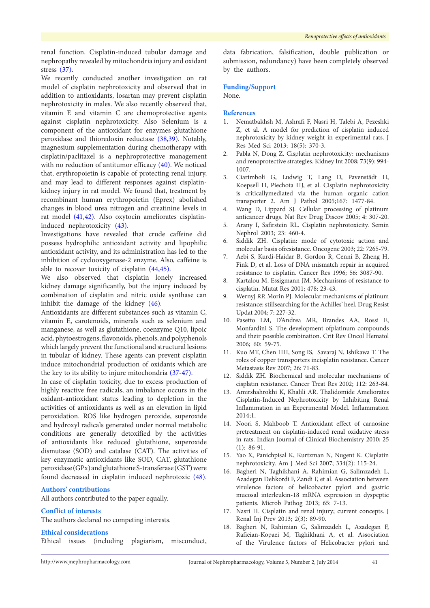renal function. Cisplatin-induced tubular damage and nephropathy revealed by mitochondria injury and oxidant stress [\(37\)](#page-3-10).

We recently conducted another investigation on rat model of cisplatin nephrotoxicity and observed that in addition to antioxidants, losartan may prevent cisplatin nephrotoxicity in males. We also recently observed that, vitamin E and vitamin C are chemoprotective agents against cisplatin nephrotoxicity. Also Selenium is a component of the antioxidant for enzymes glutathione peroxidase and thioredoxin reductase [\(38](#page-3-11)[,39\)](#page-3-12). Notably, magnesium supplementation during chemotherapy with cisplatin/paclitaxel is a nephroprotective management with no reduction of antitumor efficacy ([40](#page-3-13)). We noticed that, erythropoietin is capable of protecting renal injury, and may lead to different responses against cisplatinkidney injury in rat model. We found that, treatment by recombinant human erythropoietin (Eprex) abolished changes in blood urea nitrogen and creatinine levels in rat model [\(41](#page-3-14)[,42\)](#page-3-15). Also oxytocin ameliorates cisplatininduced nephrotoxicity ([43](#page-3-16)).

Investigations have revealed that crude caffeine did possess hydrophilic antioxidant activity and lipophilic antioxidant activity, and its administration has led to the inhibition of cyclooxygenase-2 enzyme. Also, caffeine is able to recover toxicity of cisplatin ([44](#page-3-17)[,45](#page-3-18)).

We also observed that cisplatin lonely increased kidney damage significantly, but the injury induced by combination of cisplatin and nitric oxide synthase can inhibit the damage of the kidney ([46](#page-3-19)).

Antioxidants are different substances such as vitamin C, vitamin E, carotenoids, minerals such as selenium and manganese, as well as glutathione, coenzyme Q10, lipoic acid, phytoestrogens, flavonoids, phenols, and polyphenols which largely prevent the functional and structural lesions in tubular of kidney. These agents can prevent cisplatin induce mitochondrial production of oxidants which are the key to its ability to injure mitochondria [\(37](#page-3-10)-[47](#page-3-20)).

In case of cisplatin toxicity, due to excess production of highly reactive free radicals, an imbalance occurs in the oxidant-antioxidant status leading to depletion in the activities of antioxidants as well as an elevation in lipid peroxidation. ROS like hydrogen peroxide, superoxide and hydroxyl radicals generated under normal metabolic conditions are generally detoxified by the activities of antioxidants like reduced glutathione, superoxide dismutase (SOD) and catalase (CAT). The activities of key enzymatic antioxidants like SOD, CAT, glutathione peroxidase (GPx) and glutathione S-transferase (GST) were found decreased in cisplatin induced nephrotoxic ([48\)](#page-3-21).

# **Authors' contributions**

All authors contributed to the paper equally.

# **Conflict of interests**

The authors declared no competing interests.

# **Ethical considerations**

Ethical issues (including plagiarism, misconduct,

data fabrication, falsification, double publication or submission, redundancy) have been completely observed by the authors.

#### **Funding/Support**

None.

#### **References**

- <span id="page-2-0"></span>1. Nematbakhsh M, Ashrafi F, Nasri H, Talebi A, Pezeshki Z, et al. A model for prediction of cisplatin induced nephrotoxicity by kidney weight in experimental rats. J Res Med Sci 2013; 18(5): 370-3.
- <span id="page-2-1"></span>2. Pabla N, Dong Z. Cisplatin nephrotoxicity: mechanisms and renoprotective strategies. Kidney Int 2008; 73(9): 994- 1007.
- <span id="page-2-2"></span>3. Ciarimboli G, Ludwig T, Lang D, Pavenstädt H, Koepsell H, Piechota HJ, et al. Cisplatin nephrotoxicity is criticallymediated via the human organic cation transporter 2. Am J Pathol 2005;167: 1477-84.
- 4. Wang D, Lippard SJ. Cellular processing of platinum anticancer drugs. Nat Rev Drug Discov 2005; 4: 307-20.
- 5. Arany I, Safirstein RL. Cisplatin nephrotoxicity. Semin Nephrol 2003; 23: 460-4.
- <span id="page-2-3"></span>6. Siddik ZH. Cisplatin: mode of cytotoxic action and molecular basis ofresistance. Oncogene 2003; 22: 7265-79.
- <span id="page-2-4"></span>7. Aebi S, Kurdi-Haidar B, Gordon R, Cenni B, Zheng H, Fink D, et al. Loss of DNA mismatch repair in acquired resistance to cisplatin. Cancer Res 1996; 56: 3087-90.
- 8. Kartalou M, Essigmann JM. Mechanisms of resistance to cisplatin. Mutat Res 2001; 478: 23-43.
- 9. Wernyj RP, Morin PJ. Molecular mechanisms of platinum resistance: stillsearching for the Achilles' heel. Drug Resist Updat 2004; 7: 227-32.
- <span id="page-2-5"></span>10. Pasetto LM, D'Andrea MR, Brandes AA, Rossi E, Monfardini S. The development ofplatinum compounds and their possible combination. Crit Rev Oncol Hematol 2006; 60: 59-75.
- <span id="page-2-6"></span>11. Kuo MT, Chen HH, Song IS, Savaraj N, Ishikawa T. The roles of copper transporters incisplatin resistance. Cancer Metastasis Rev 2007; 26: 71-83.
- <span id="page-2-7"></span>12. Siddik ZH. Biochemical and molecular mechanisms of cisplatin resistance. Cancer Treat Res 2002; 112: 263-84.
- <span id="page-2-8"></span>13. Amirshahrokhi K, Khalili AR. Thalidomide Ameliorates Cisplatin-Induced Nephrotoxicity by Inhibiting Renal Inflammation in an Experimental Model. Inflammation  $2014:1$
- <span id="page-2-9"></span>14. Noori S, Mahboob T. Antioxidant effect of carnosine pretreatment on cisplatin-induced renal oxidative stress in rats. Indian Journal of Clinical Biochemistry 2010; 25 (1): 86-91.
- <span id="page-2-10"></span>15. Yao X, Panichpisal K, Kurtzman N, Nugent K. Cisplatin nephrotoxicity. Am J Med Sci 2007; 334(2): 115-24.
- <span id="page-2-11"></span>16. Bagheri N, Taghikhani A, Rahimian G, Salimzadeh L, Azadegan Dehkordi F, Zandi F, et al. Association between virulence factors of helicobacter pylori and gastric mucosal interleukin-18 mRNA expression in dyspeptic patients. Microb Pathog 2013; 65: 7-13.
- <span id="page-2-12"></span>17. Nasri H. Cisplatin and renal injury; current concepts. J Renal Inj Prev 2013; 2(3): 89-90.
- <span id="page-2-13"></span>18. Bagheri N, Rahimian G, Salimzadeh L, Azadegan F, Rafieian-Kopaei M, Taghikhani A, et al. Association of the Virulence factors of Helicobacter pylori and